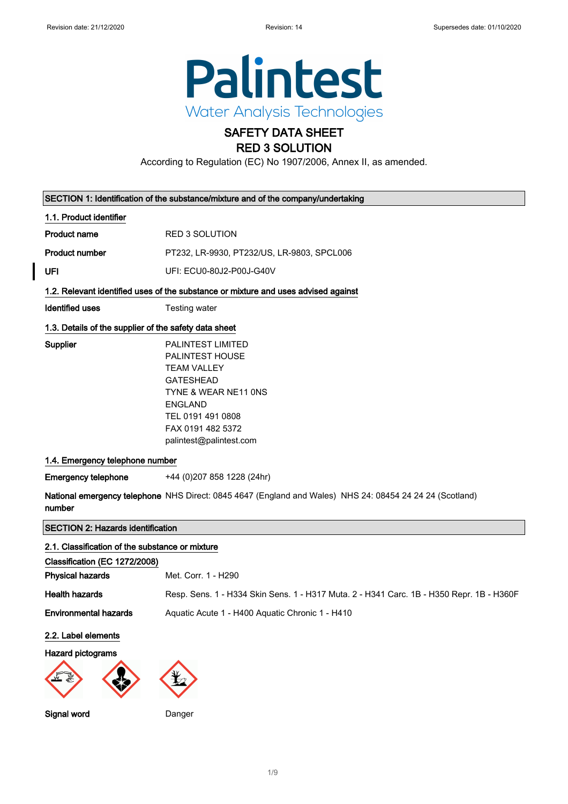

# SAFETY DATA SHEET RED 3 SOLUTION

According to Regulation (EC) No 1907/2006, Annex II, as amended.

|                                                       | SECTION 1: Identification of the substance/mixture and of the company/undertaking                                                                                                                    |
|-------------------------------------------------------|------------------------------------------------------------------------------------------------------------------------------------------------------------------------------------------------------|
| 1.1. Product identifier                               |                                                                                                                                                                                                      |
| <b>Product name</b>                                   | <b>RED 3 SOLUTION</b>                                                                                                                                                                                |
| <b>Product number</b>                                 | PT232, LR-9930, PT232/US, LR-9803, SPCL006                                                                                                                                                           |
| UFI                                                   | UFI: ECU0-80J2-P00J-G40V                                                                                                                                                                             |
|                                                       | 1.2. Relevant identified uses of the substance or mixture and uses advised against                                                                                                                   |
| Identified uses                                       | Testing water                                                                                                                                                                                        |
| 1.3. Details of the supplier of the safety data sheet |                                                                                                                                                                                                      |
| Supplier                                              | <b>PALINTEST LIMITED</b><br>PALINTEST HOUSE<br><b>TEAM VALLEY</b><br><b>GATESHEAD</b><br>TYNE & WEAR NE11 ONS<br><b>ENGLAND</b><br>TEL 0191 491 0808<br>FAX 0191 482 5372<br>palintest@palintest.com |
| 1.4. Emergency telephone number                       |                                                                                                                                                                                                      |
| <b>Emergency telephone</b>                            | +44 (0) 207 858 1228 (24hr)                                                                                                                                                                          |
| number                                                | National emergency telephone NHS Direct: 0845 4647 (England and Wales) NHS 24: 08454 24 24 24 (Scotland)                                                                                             |
| <b>SECTION 2: Hazards identification</b>              |                                                                                                                                                                                                      |
| 2.1. Classification of the substance or mixture       |                                                                                                                                                                                                      |
| Classification (EC 1272/2008)                         |                                                                                                                                                                                                      |
| <b>Physical hazards</b>                               | Met. Corr. 1 - H290                                                                                                                                                                                  |
| <b>Health hazards</b>                                 | Resp. Sens. 1 - H334 Skin Sens. 1 - H317 Muta. 2 - H341 Carc. 1B - H350 Repr. 1B - H360F                                                                                                             |
| <b>Environmental hazards</b>                          | Aquatic Acute 1 - H400 Aquatic Chronic 1 - H410                                                                                                                                                      |
| 2.2. Label elements                                   |                                                                                                                                                                                                      |
| Hazard pictograms                                     |                                                                                                                                                                                                      |
|                                                       |                                                                                                                                                                                                      |

Signal word Danger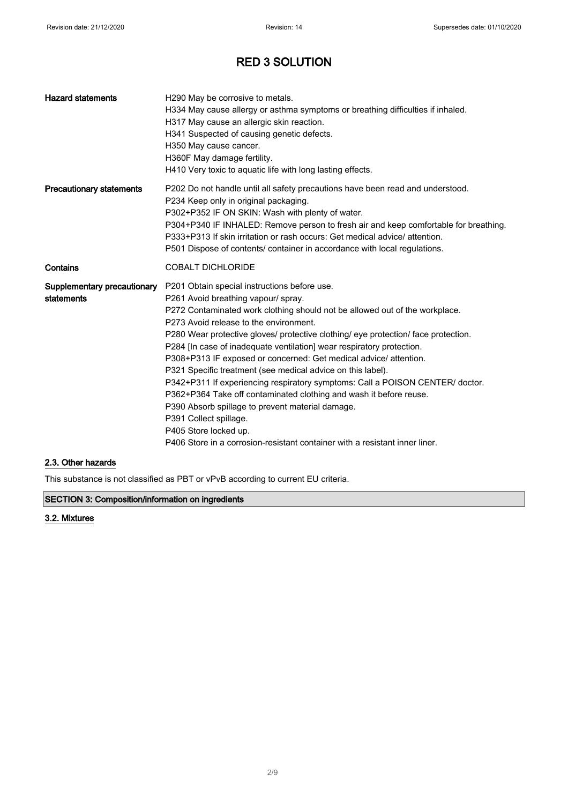| <b>Hazard statements</b>                  | H290 May be corrosive to metals.<br>H334 May cause allergy or asthma symptoms or breathing difficulties if inhaled.<br>H317 May cause an allergic skin reaction.<br>H341 Suspected of causing genetic defects.<br>H350 May cause cancer.<br>H360F May damage fertility.<br>H410 Very toxic to aquatic life with long lasting effects.                                                                                                                                                                                                                                                                                                                                                                                                                                                                                                                        |
|-------------------------------------------|--------------------------------------------------------------------------------------------------------------------------------------------------------------------------------------------------------------------------------------------------------------------------------------------------------------------------------------------------------------------------------------------------------------------------------------------------------------------------------------------------------------------------------------------------------------------------------------------------------------------------------------------------------------------------------------------------------------------------------------------------------------------------------------------------------------------------------------------------------------|
| <b>Precautionary statements</b>           | P202 Do not handle until all safety precautions have been read and understood.<br>P234 Keep only in original packaging.<br>P302+P352 IF ON SKIN: Wash with plenty of water.<br>P304+P340 IF INHALED: Remove person to fresh air and keep comfortable for breathing.<br>P333+P313 If skin irritation or rash occurs: Get medical advice/attention.<br>P501 Dispose of contents/ container in accordance with local regulations.                                                                                                                                                                                                                                                                                                                                                                                                                               |
| Contains                                  | <b>COBALT DICHLORIDE</b>                                                                                                                                                                                                                                                                                                                                                                                                                                                                                                                                                                                                                                                                                                                                                                                                                                     |
| Supplementary precautionary<br>statements | P201 Obtain special instructions before use.<br>P261 Avoid breathing vapour/ spray.<br>P272 Contaminated work clothing should not be allowed out of the workplace.<br>P273 Avoid release to the environment.<br>P280 Wear protective gloves/ protective clothing/ eye protection/ face protection.<br>P284 [In case of inadequate ventilation] wear respiratory protection.<br>P308+P313 IF exposed or concerned: Get medical advice/ attention.<br>P321 Specific treatment (see medical advice on this label).<br>P342+P311 If experiencing respiratory symptoms: Call a POISON CENTER/ doctor.<br>P362+P364 Take off contaminated clothing and wash it before reuse.<br>P390 Absorb spillage to prevent material damage.<br>P391 Collect spillage.<br>P405 Store locked up.<br>P406 Store in a corrosion-resistant container with a resistant inner liner. |

### 2.3. Other hazards

This substance is not classified as PBT or vPvB according to current EU criteria.

## SECTION 3: Composition/information on ingredients

### 3.2. Mixtures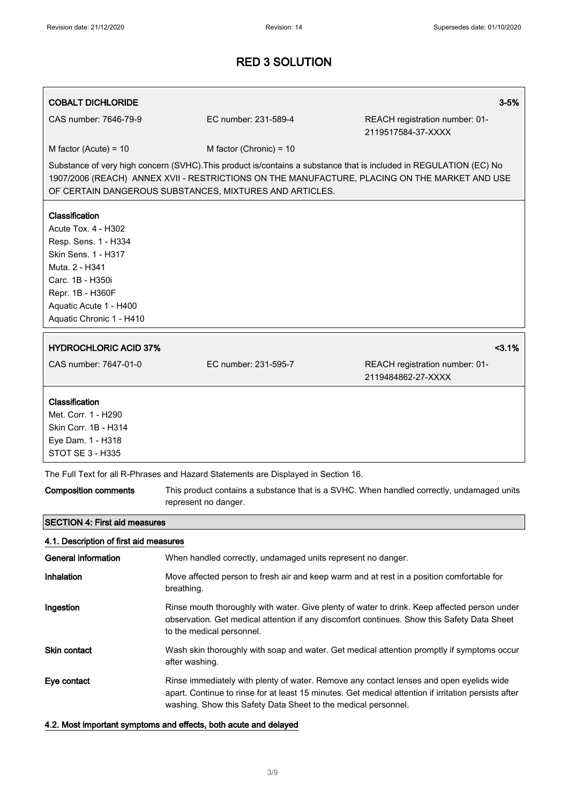# COBALT DICHLORIDE 3-5% and 3-5% and 3-5% and 3-5% and 3-5% and 3-5% and 3-5% and 3-5% and 3-5% and 3-5% and 3-CAS number: 7646-79-9 EC number: 231-589-4 REACH registration number: 01- 2119517584-37-XXXX  $M$  factor (Acute) = 10 M factor (Chronic) = 10 Substance of very high concern (SVHC).This product is/contains a substance that is included in REGULATION (EC) No 1907/2006 (REACH) ANNEX XVII - RESTRICTIONS ON THE MANUFACTURE, PLACING ON THE MARKET AND USE OF CERTAIN DANGEROUS SUBSTANCES, MIXTURES AND ARTICLES. Classification Acute Tox. 4 - H302 Resp. Sens. 1 - H334 Skin Sens. 1 - H317 Muta. 2 - H341 Carc. 1B - H350i Repr. 1B - H360F Aquatic Acute 1 - H400 Aquatic Chronic 1 - H410 HYDROCHLORIC ACID 37%  $\sim$ CAS number: 7647-01-0 EC number: 231-595-7 REACH registration number: 01- 2119484862-27-XXXX Classification Met. Corr. 1 - H290 Skin Corr. 1B - H314 Eye Dam. 1 - H318 STOT SE 3 - H335 The Full Text for all R-Phrases and Hazard Statements are Displayed in Section 16. Composition comments This product contains a substance that is a SVHC. When handled correctly, undamaged units represent no danger. SECTION 4: First aid measures 4.1. Description of first aid measures General information **When handled correctly, undamaged units represent no danger.** Inhalation Move affected person to fresh air and keep warm and at rest in a position comfortable for breathing. Ingestion **Rinse mouth thoroughly with water. Give plenty of water to drink. Keep affected person under** observation. Get medical attention if any discomfort continues. Show this Safety Data Sheet to the medical personnel. Skin contact **Wash skin thoroughly with soap and water.** Get medical attention promptly if symptoms occur after washing. Eye contact **Rinse immediately with plenty of water. Remove any contact lenses and open eyelids wide** apart. Continue to rinse for at least 15 minutes. Get medical attention if irritation persists after

### 4.2. Most important symptoms and effects, both acute and delayed

washing. Show this Safety Data Sheet to the medical personnel.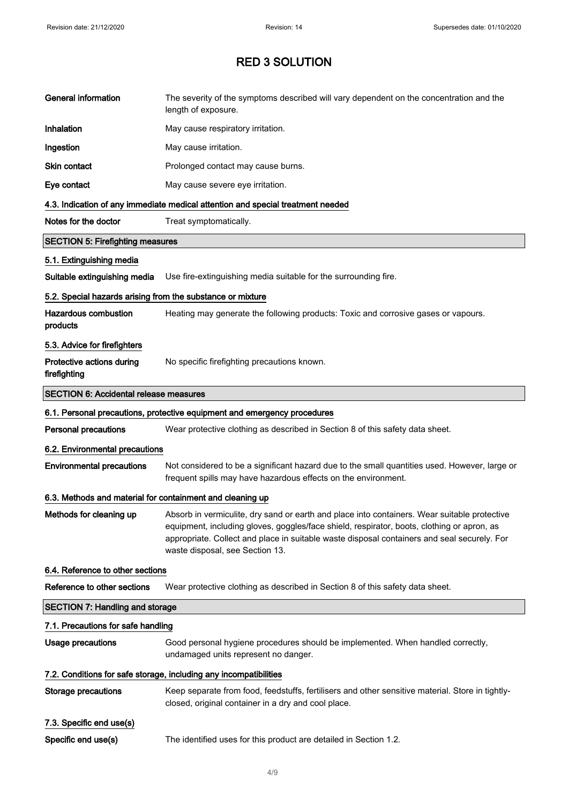| <b>General information</b>                                 | The severity of the symptoms described will vary dependent on the concentration and the<br>length of exposure.                                                                                                                                                                                                               |
|------------------------------------------------------------|------------------------------------------------------------------------------------------------------------------------------------------------------------------------------------------------------------------------------------------------------------------------------------------------------------------------------|
| Inhalation                                                 | May cause respiratory irritation.                                                                                                                                                                                                                                                                                            |
| Ingestion                                                  | May cause irritation.                                                                                                                                                                                                                                                                                                        |
| <b>Skin contact</b>                                        | Prolonged contact may cause burns.                                                                                                                                                                                                                                                                                           |
| Eye contact                                                | May cause severe eye irritation.                                                                                                                                                                                                                                                                                             |
|                                                            | 4.3. Indication of any immediate medical attention and special treatment needed                                                                                                                                                                                                                                              |
| Notes for the doctor                                       | Treat symptomatically.                                                                                                                                                                                                                                                                                                       |
| <b>SECTION 5: Firefighting measures</b>                    |                                                                                                                                                                                                                                                                                                                              |
| 5.1. Extinguishing media                                   |                                                                                                                                                                                                                                                                                                                              |
| Suitable extinguishing media                               | Use fire-extinguishing media suitable for the surrounding fire.                                                                                                                                                                                                                                                              |
| 5.2. Special hazards arising from the substance or mixture |                                                                                                                                                                                                                                                                                                                              |
| <b>Hazardous combustion</b><br>products                    | Heating may generate the following products: Toxic and corrosive gases or vapours.                                                                                                                                                                                                                                           |
| 5.3. Advice for firefighters                               |                                                                                                                                                                                                                                                                                                                              |
| Protective actions during<br>firefighting                  | No specific firefighting precautions known.                                                                                                                                                                                                                                                                                  |
| <b>SECTION 6: Accidental release measures</b>              |                                                                                                                                                                                                                                                                                                                              |
|                                                            | 6.1. Personal precautions, protective equipment and emergency procedures                                                                                                                                                                                                                                                     |
| <b>Personal precautions</b>                                | Wear protective clothing as described in Section 8 of this safety data sheet.                                                                                                                                                                                                                                                |
| 6.2. Environmental precautions                             |                                                                                                                                                                                                                                                                                                                              |
| <b>Environmental precautions</b>                           | Not considered to be a significant hazard due to the small quantities used. However, large or<br>frequent spills may have hazardous effects on the environment.                                                                                                                                                              |
| 6.3. Methods and material for containment and cleaning up  |                                                                                                                                                                                                                                                                                                                              |
| Methods for cleaning up                                    | Absorb in vermiculite, dry sand or earth and place into containers. Wear suitable protective<br>equipment, including gloves, goggles/face shield, respirator, boots, clothing or apron, as<br>appropriate. Collect and place in suitable waste disposal containers and seal securely. For<br>waste disposal, see Section 13. |
| 6.4. Reference to other sections                           |                                                                                                                                                                                                                                                                                                                              |
| Reference to other sections                                | Wear protective clothing as described in Section 8 of this safety data sheet.                                                                                                                                                                                                                                                |
| <b>SECTION 7: Handling and storage</b>                     |                                                                                                                                                                                                                                                                                                                              |
| 7.1. Precautions for safe handling                         |                                                                                                                                                                                                                                                                                                                              |
| Usage precautions                                          | Good personal hygiene procedures should be implemented. When handled correctly,<br>undamaged units represent no danger.                                                                                                                                                                                                      |
|                                                            | 7.2. Conditions for safe storage, including any incompatibilities                                                                                                                                                                                                                                                            |
| <b>Storage precautions</b>                                 | Keep separate from food, feedstuffs, fertilisers and other sensitive material. Store in tightly-<br>closed, original container in a dry and cool place.                                                                                                                                                                      |
| 7.3. Specific end use(s)                                   |                                                                                                                                                                                                                                                                                                                              |
| Specific end use(s)                                        | The identified uses for this product are detailed in Section 1.2.                                                                                                                                                                                                                                                            |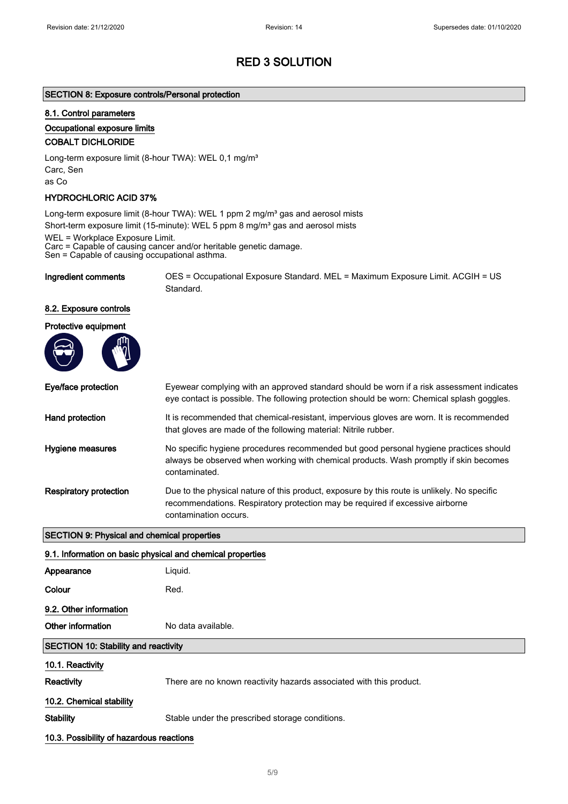### SECTION 8: Exposure controls/Personal protection

#### 8.1. Control parameters

#### Occupational exposure limits

#### COBALT DICHLORIDE

Long-term exposure limit (8-hour TWA): WEL 0,1 mg/m<sup>3</sup> Carc, Sen as Co

#### HYDROCHLORIC ACID 37%

Long-term exposure limit (8-hour TWA): WEL 1 ppm 2 mg/m<sup>3</sup> gas and aerosol mists Short-term exposure limit (15-minute): WEL 5 ppm 8 mg/m<sup>3</sup> gas and aerosol mists

WEL = Workplace Exposure Limit.

Carc = Capable of causing cancer and/or heritable genetic damage.

Sen = Capable of causing occupational asthma.

Ingredient comments OES = Occupational Exposure Standard. MEL = Maximum Exposure Limit. ACGIH = US Standard.

#### 8.2. Exposure controls

| Protective equipment |  |
|----------------------|--|
|                      |  |

| Eye/face protection                                        | Eyewear complying with an approved standard should be worn if a risk assessment indicates<br>eye contact is possible. The following protection should be worn: Chemical splash goggles.               |  |
|------------------------------------------------------------|-------------------------------------------------------------------------------------------------------------------------------------------------------------------------------------------------------|--|
| Hand protection                                            | It is recommended that chemical-resistant, impervious gloves are worn. It is recommended<br>that gloves are made of the following material: Nitrile rubber.                                           |  |
| Hygiene measures                                           | No specific hygiene procedures recommended but good personal hygiene practices should<br>always be observed when working with chemical products. Wash promptly if skin becomes<br>contaminated.       |  |
| <b>Respiratory protection</b>                              | Due to the physical nature of this product, exposure by this route is unlikely. No specific<br>recommendations. Respiratory protection may be required if excessive airborne<br>contamination occurs. |  |
| <b>SECTION 9: Physical and chemical properties</b>         |                                                                                                                                                                                                       |  |
| 9.1. Information on basic physical and chemical properties |                                                                                                                                                                                                       |  |
| Appearance                                                 | Liquid.                                                                                                                                                                                               |  |
| Colour                                                     | Red.                                                                                                                                                                                                  |  |
| 9.2. Other information                                     |                                                                                                                                                                                                       |  |

Other information No data available.

#### SECTION 10: Stability and reactivity

10.1. Reactivity

Reactivity There are no known reactivity hazards associated with this product.

#### 10.2. Chemical stability

Stability Stable under the prescribed storage conditions.

10.3. Possibility of hazardous reactions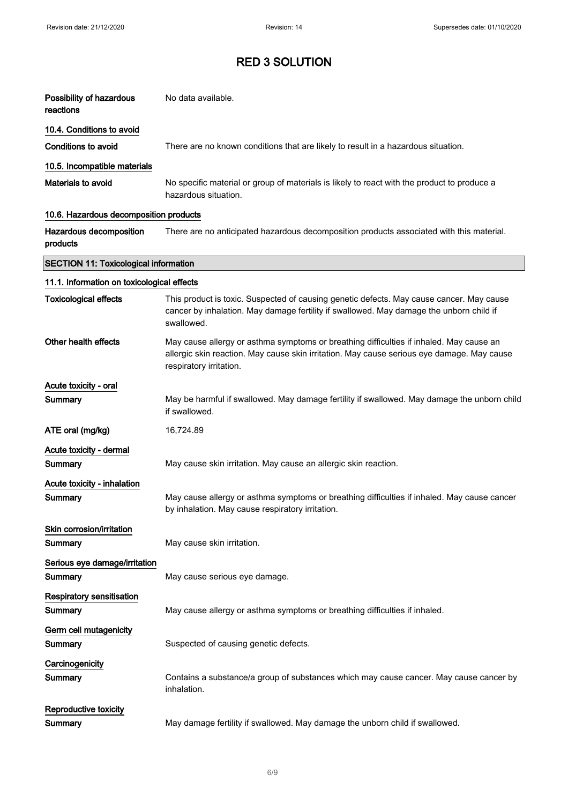| Possibility of hazardous<br>reactions        | No data available.                                                                                                                                                                                               |
|----------------------------------------------|------------------------------------------------------------------------------------------------------------------------------------------------------------------------------------------------------------------|
| 10.4. Conditions to avoid                    |                                                                                                                                                                                                                  |
| Conditions to avoid                          | There are no known conditions that are likely to result in a hazardous situation.                                                                                                                                |
| 10.5. Incompatible materials                 |                                                                                                                                                                                                                  |
| Materials to avoid                           | No specific material or group of materials is likely to react with the product to produce a<br>hazardous situation.                                                                                              |
| 10.6. Hazardous decomposition products       |                                                                                                                                                                                                                  |
| Hazardous decomposition<br>products          | There are no anticipated hazardous decomposition products associated with this material.                                                                                                                         |
| <b>SECTION 11: Toxicological information</b> |                                                                                                                                                                                                                  |
| 11.1. Information on toxicological effects   |                                                                                                                                                                                                                  |
| <b>Toxicological effects</b>                 | This product is toxic. Suspected of causing genetic defects. May cause cancer. May cause<br>cancer by inhalation. May damage fertility if swallowed. May damage the unborn child if<br>swallowed.                |
| Other health effects                         | May cause allergy or asthma symptoms or breathing difficulties if inhaled. May cause an<br>allergic skin reaction. May cause skin irritation. May cause serious eye damage. May cause<br>respiratory irritation. |
| Acute toxicity - oral                        |                                                                                                                                                                                                                  |
| Summary                                      | May be harmful if swallowed. May damage fertility if swallowed. May damage the unborn child<br>if swallowed.                                                                                                     |
| ATE oral (mg/kg)                             | 16,724.89                                                                                                                                                                                                        |
| Acute toxicity - dermal<br>Summary           | May cause skin irritation. May cause an allergic skin reaction.                                                                                                                                                  |
| Acute toxicity - inhalation                  |                                                                                                                                                                                                                  |
| Summary                                      | May cause allergy or asthma symptoms or breathing difficulties if inhaled. May cause cancer<br>by inhalation. May cause respiratory irritation.                                                                  |
| Skin corrosion/irritation<br>Summary         | May cause skin irritation.                                                                                                                                                                                       |
| Serious eye damage/irritation<br>Summary     | May cause serious eye damage.                                                                                                                                                                                    |
| <b>Respiratory sensitisation</b><br>Summary  | May cause allergy or asthma symptoms or breathing difficulties if inhaled.                                                                                                                                       |
| Germ cell mutagenicity<br>Summary            | Suspected of causing genetic defects.                                                                                                                                                                            |
| Carcinogenicity<br>Summary                   | Contains a substance/a group of substances which may cause cancer. May cause cancer by<br>inhalation.                                                                                                            |
| Reproductive toxicity<br>Summary             | May damage fertility if swallowed. May damage the unborn child if swallowed.                                                                                                                                     |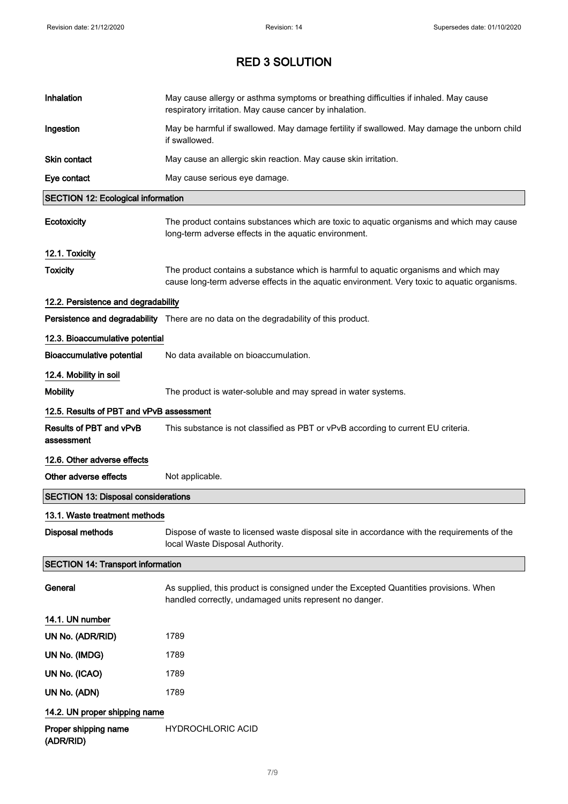| Inhalation                                 | May cause allergy or asthma symptoms or breathing difficulties if inhaled. May cause<br>respiratory irritation. May cause cancer by inhalation.                                      |
|--------------------------------------------|--------------------------------------------------------------------------------------------------------------------------------------------------------------------------------------|
| Ingestion                                  | May be harmful if swallowed. May damage fertility if swallowed. May damage the unborn child<br>if swallowed.                                                                         |
| Skin contact                               | May cause an allergic skin reaction. May cause skin irritation.                                                                                                                      |
| Eye contact                                | May cause serious eye damage.                                                                                                                                                        |
| <b>SECTION 12: Ecological information</b>  |                                                                                                                                                                                      |
| Ecotoxicity                                | The product contains substances which are toxic to aquatic organisms and which may cause<br>long-term adverse effects in the aquatic environment.                                    |
| 12.1. Toxicity                             |                                                                                                                                                                                      |
| <b>Toxicity</b>                            | The product contains a substance which is harmful to aquatic organisms and which may<br>cause long-term adverse effects in the aquatic environment. Very toxic to aquatic organisms. |
| 12.2. Persistence and degradability        |                                                                                                                                                                                      |
|                                            | Persistence and degradability There are no data on the degradability of this product.                                                                                                |
| 12.3. Bioaccumulative potential            |                                                                                                                                                                                      |
| <b>Bioaccumulative potential</b>           | No data available on bioaccumulation.                                                                                                                                                |
| 12.4. Mobility in soil                     |                                                                                                                                                                                      |
| <b>Mobility</b>                            | The product is water-soluble and may spread in water systems.                                                                                                                        |
| 12.5. Results of PBT and vPvB assessment   |                                                                                                                                                                                      |
| Results of PBT and vPvB<br>assessment      | This substance is not classified as PBT or vPvB according to current EU criteria.                                                                                                    |
| 12.6. Other adverse effects                |                                                                                                                                                                                      |
| Other adverse effects                      | Not applicable.                                                                                                                                                                      |
| <b>SECTION 13: Disposal considerations</b> |                                                                                                                                                                                      |
| 13.1. Waste treatment methods              |                                                                                                                                                                                      |
| <b>Disposal methods</b>                    | Dispose of waste to licensed waste disposal site in accordance with the requirements of the<br>local Waste Disposal Authority.                                                       |
| <b>SECTION 14: Transport information</b>   |                                                                                                                                                                                      |
| General                                    | As supplied, this product is consigned under the Excepted Quantities provisions. When<br>handled correctly, undamaged units represent no danger.                                     |
| 14.1. UN number                            |                                                                                                                                                                                      |
| UN No. (ADR/RID)                           | 1789                                                                                                                                                                                 |
| UN No. (IMDG)                              | 1789                                                                                                                                                                                 |
| UN No. (ICAO)                              | 1789                                                                                                                                                                                 |
| UN No. (ADN)                               | 1789                                                                                                                                                                                 |
| 14.2. UN proper shipping name              |                                                                                                                                                                                      |
| Proper shipping name<br>(ADR/RID)          | <b>HYDROCHLORIC ACID</b>                                                                                                                                                             |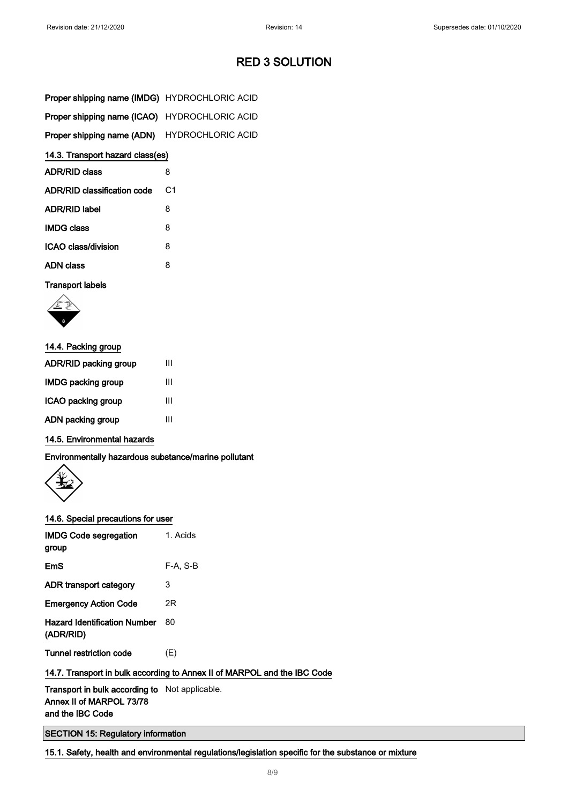| <b>Proper shipping name (IMDG)</b> HYDROCHLORIC ACID |                |
|------------------------------------------------------|----------------|
| Proper shipping name (ICAO) HYDROCHLORIC ACID        |                |
| Proper shipping name (ADN) HYDROCHLORIC ACID         |                |
| 14.3. Transport hazard class(es)                     |                |
| <b>ADR/RID class</b>                                 | 8              |
| <b>ADR/RID classification code</b>                   | C <sub>1</sub> |
| ADR/RID label                                        | 8              |
| <b>IMDG class</b>                                    | 8              |
| ICAO class/division                                  | 8              |
| ADN class                                            | 8              |

Transport labels



| 14.4. Packing group    |   |
|------------------------|---|
| ADR/RID packing group  | Ш |
| IMDG packing group     | Ш |
| ICAO packing group     | Ш |
| ADN packing group<br>Ш |   |
|                        |   |

## 14.5. Environmental hazards

Environmentally hazardous substance/marine pollutant



### 14.6. Special precautions for user

| <b>IMDG Code segregation</b><br>group                           | 1. Acids |
|-----------------------------------------------------------------|----------|
| EmS                                                             | F-A. S-B |
| ADR transport category                                          | 3        |
| <b>Emergency Action Code</b>                                    | 2R       |
| <b>Hazard Identification Number</b><br>(ADR/RID)                | 80       |
| Tunnel restriction code                                         | (E)      |
| 14.7. Transport in bulk according to Annex II of MARPOL and the |          |
| Transport in bulk according to Not applicable.                  |          |

## 1BC Code

Annex II of MARPOL 73/78 and the IBC Code

SECTION 15: Regulatory information

15.1. Safety, health and environmental regulations/legislation specific for the substance or mixture